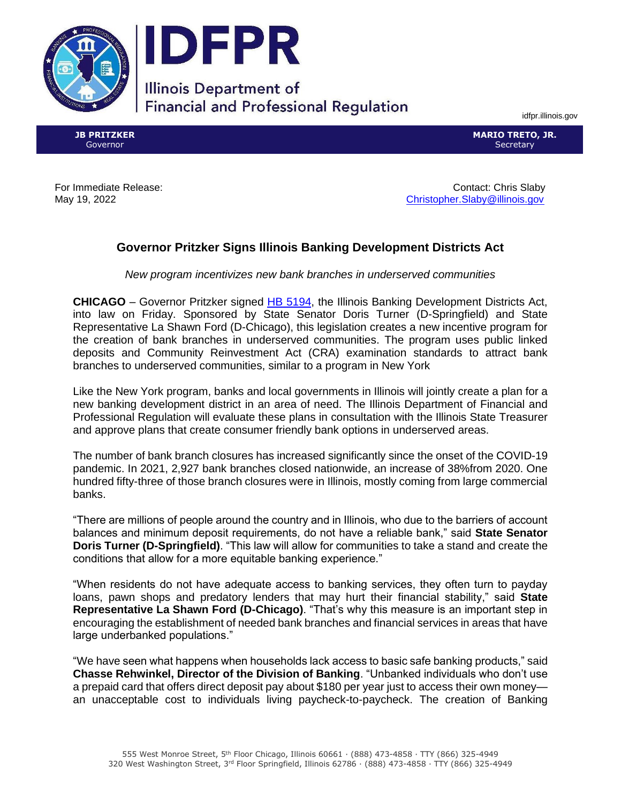



## **Illinois Department of Financial and Professional Regulation**

idfpr.illinois.gov

**JB PRITZKER** Governor

**MARIO TRETO, JR. Secretary** 

For Immediate Release: Contact: Chris Slaby May 19, 2022 [Christopher.Slaby@illinois.gov](mailto:Christopher.Slaby@illinois.gov)

## **Governor Pritzker Signs Illinois Banking Development Districts Act**

*New program incentivizes new bank branches in underserved communities*

**CHICAGO** – Governor Pritzker signed [HB 5194,](https://www.ilga.gov/legislation/102/HB/PDF/10200HB5194lv.pdf) the Illinois Banking Development Districts Act, into law on Friday. Sponsored by State Senator Doris Turner (D-Springfield) and State Representative La Shawn Ford (D-Chicago), this legislation creates a new incentive program for the creation of bank branches in underserved communities. The program uses public linked deposits and Community Reinvestment Act (CRA) examination standards to attract bank branches to underserved communities, similar to a program in New York

Like the New York program, banks and local governments in Illinois will jointly create a plan for a new banking development district in an area of need. The Illinois Department of Financial and Professional Regulation will evaluate these plans in consultation with the Illinois State Treasurer and approve plans that create consumer friendly bank options in underserved areas.

The number of bank branch closures has increased significantly since the onset of the COVID-19 pandemic. In 2021, 2,927 bank branches closed nationwide, an increase of 38%from 2020. One hundred fifty-three of those branch closures were in Illinois, mostly coming from large commercial banks.

"There are millions of people around the country and in Illinois, who due to the barriers of account balances and minimum deposit requirements, do not have a reliable bank," said **State Senator Doris Turner (D-Springfield)**. "This law will allow for communities to take a stand and create the conditions that allow for a more equitable banking experience."

"When residents do not have adequate access to banking services, they often turn to payday loans, pawn shops and predatory lenders that may hurt their financial stability," said **State Representative La Shawn Ford (D-Chicago)**. "That's why this measure is an important step in encouraging the establishment of needed bank branches and financial services in areas that have large underbanked populations."

"We have seen what happens when households lack access to basic safe banking products," said **Chasse Rehwinkel, Director of the Division of Banking**. "Unbanked individuals who don't use a prepaid card that offers direct deposit pay about \$180 per year just to access their own money an unacceptable cost to individuals living paycheck-to-paycheck. The creation of Banking